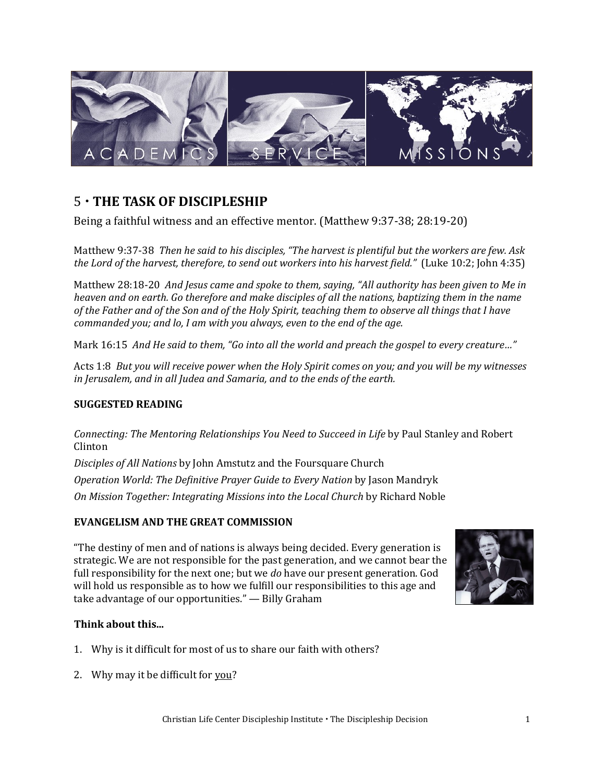

## 5 **THE TASK OF DISCIPLESHIP**

Being a faithful witness and an effective mentor. (Matthew 9:37-38; 28:19-20)

Matthew 9:37-38 *Then he said to his disciples, "The harvest is plentiful but the workers are few. Ask the Lord of the harvest, therefore, to send out workers into his harvest field."* (Luke 10:2; John 4:35)

Matthew 28:18-20 *And Jesus came and spoke to them, saying, "All authority has been given to Me in heaven and on earth. Go therefore and make disciples of all the nations, baptizing them in the name of the Father and of the Son and of the Holy Spirit, teaching them to observe all things that I have commanded you; and lo, I am with you always, even to the end of the age.* 

Mark 16:15 *And He said to them, "Go into all the world and preach the gospel to every creature…"*

Acts 1:8 *But you will receive power when the Holy Spirit comes on you; and you will be my witnesses in Jerusalem, and in all Judea and Samaria, and to the ends of the earth.* 

## **SUGGESTED READING**

*Connecting: The Mentoring Relationships You Need to Succeed in Life* by Paul Stanley and Robert Clinton

*Disciples of All Nations* by John Amstutz and the Foursquare Church *Operation World: The Definitive Prayer Guide to Every Nation* by Jason Mandryk *On Mission Together: Integrating Missions into the Local Church* by Richard Noble

## **EVANGELISM AND THE GREAT COMMISSION**

"The destiny of men and of nations is always being decided. Every generation is strategic. We are not responsible for the past generation, and we cannot bear the full responsibility for the next one; but we *do* have our present generation. God will hold us responsible as to how we fulfill our responsibilities to this age and take advantage of our opportunities." — Billy Graham



## **Think about this...**

- 1. Why is it difficult for most of us to share our faith with others?
- 2. Why may it be difficult for you?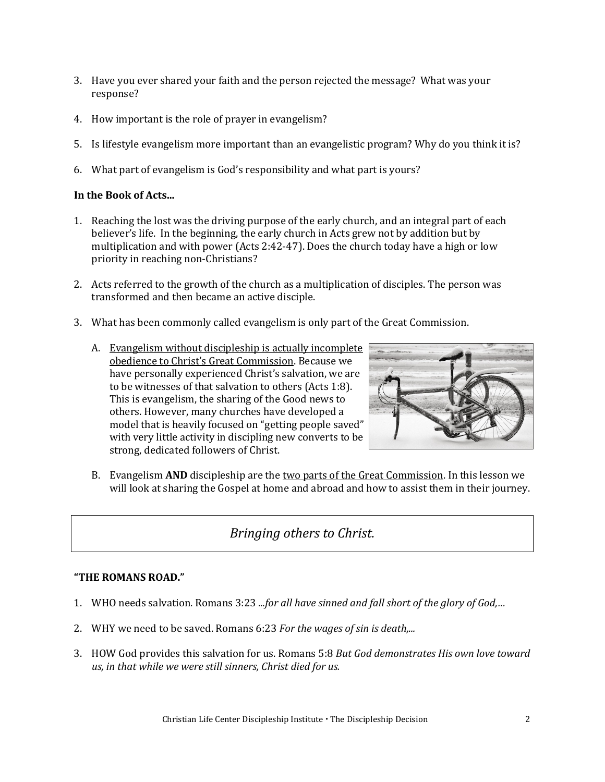- 3. Have you ever shared your faith and the person rejected the message? What was your response?
- 4. How important is the role of prayer in evangelism?
- 5. Is lifestyle evangelism more important than an evangelistic program? Why do you think it is?
- 6. What part of evangelism is God's responsibility and what part is yours?

#### **In the Book of Acts...**

- 1. Reaching the lost was the driving purpose of the early church, and an integral part of each believer's life. In the beginning, the early church in Acts grew not by addition but by multiplication and with power (Acts 2:42-47). Does the church today have a high or low priority in reaching non-Christians?
- 2. Acts referred to the growth of the church as a multiplication of disciples. The person was transformed and then became an active disciple.
- 3. What has been commonly called evangelism is only part of the Great Commission.
	- A. Evangelism without discipleship is actually incomplete obedience to Christ's Great Commission. Because we have personally experienced Christ's salvation, we are to be witnesses of that salvation to others (Acts 1:8). This is evangelism, the sharing of the Good news to others. However, many churches have developed a model that is heavily focused on "getting people saved" with very little activity in discipling new converts to be strong, dedicated followers of Christ.



B. Evangelism **AND** discipleship are the two parts of the Great Commission. In this lesson we will look at sharing the Gospel at home and abroad and how to assist them in their journey.

## *Bringing others to Christ.*

#### **"THE ROMANS ROAD."**

- 1. WHO needs salvation. Romans 3:23 *...for all have sinned and fall short of the glory of God,…*
- 2. WHY we need to be saved. Romans 6:23 *For the wages of sin is death,...*
- 3. HOW God provides this salvation for us. Romans 5:8 *But God demonstrates His own love toward us, in that while we were still sinners, Christ died for us.*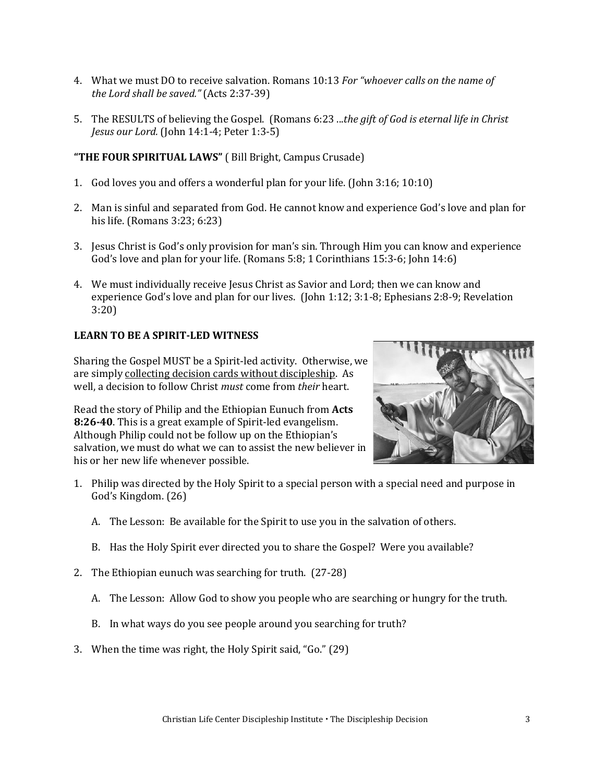- 4. What we must DO to receive salvation. Romans 10:13 *For "whoever calls on the name of the Lord shall be saved."* (Acts 2:37-39)
- 5. The RESULTS of believing the Gospel. (Romans 6:23 ...*the gift of God is eternal life in Christ Jesus our Lord.* (John 14:1-4; Peter 1:3-5)

#### **"THE FOUR SPIRITUAL LAWS"** ( Bill Bright, Campus Crusade)

- 1. God loves you and offers a wonderful plan for your life. (John 3:16; 10:10)
- 2. Man is sinful and separated from God. He cannot know and experience God's love and plan for his life. (Romans 3:23; 6:23)
- 3. Jesus Christ is God's only provision for man's sin. Through Him you can know and experience God's love and plan for your life. (Romans 5:8; 1 Corinthians 15:3-6; John 14:6)
- 4. We must individually receive Jesus Christ as Savior and Lord; then we can know and experience God's love and plan for our lives. (John 1:12; 3:1-8; Ephesians 2:8-9; Revelation 3:20)

#### **LEARN TO BE A SPIRIT-LED WITNESS**

Sharing the Gospel MUST be a Spirit-led activity. Otherwise, we are simply collecting decision cards without discipleship. As well, a decision to follow Christ *must* come from *their* heart.

Read the story of Philip and the Ethiopian Eunuch from **Acts 8:26-40**. This is a great example of Spirit-led evangelism. Although Philip could not be follow up on the Ethiopian's salvation, we must do what we can to assist the new believer in his or her new life whenever possible.



- 1. Philip was directed by the Holy Spirit to a special person with a special need and purpose in God's Kingdom. (26)
	- A. The Lesson: Be available for the Spirit to use you in the salvation of others.
	- B. Has the Holy Spirit ever directed you to share the Gospel? Were you available?
- 2. The Ethiopian eunuch was searching for truth. (27-28)
	- A. The Lesson: Allow God to show you people who are searching or hungry for the truth.
	- B. In what ways do you see people around you searching for truth?
- 3. When the time was right, the Holy Spirit said, "Go." (29)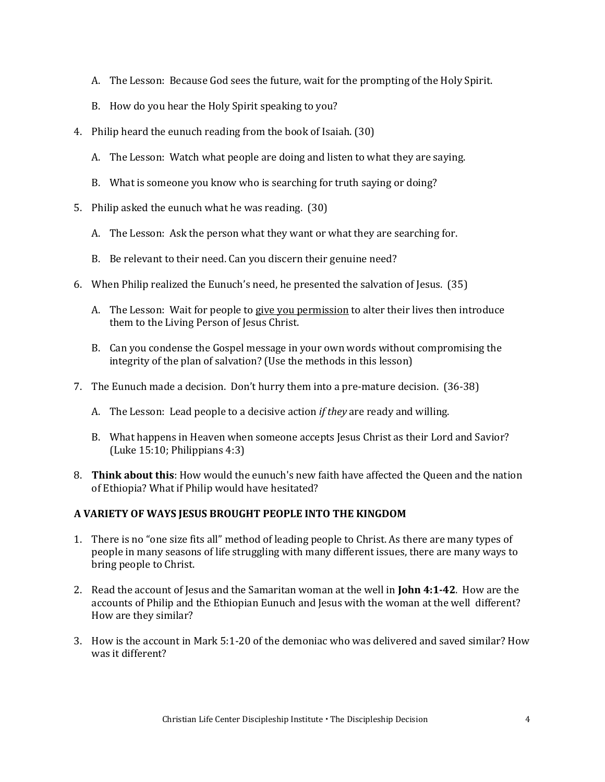- A. The Lesson: Because God sees the future, wait for the prompting of the Holy Spirit.
- B. How do you hear the Holy Spirit speaking to you?
- 4. Philip heard the eunuch reading from the book of Isaiah. (30)
	- A. The Lesson: Watch what people are doing and listen to what they are saying.
	- B. What is someone you know who is searching for truth saying or doing?
- 5. Philip asked the eunuch what he was reading. (30)
	- A. The Lesson: Ask the person what they want or what they are searching for.
	- B. Be relevant to their need. Can you discern their genuine need?
- 6. When Philip realized the Eunuch's need, he presented the salvation of Jesus. (35)
	- A. The Lesson: Wait for people to give you permission to alter their lives then introduce them to the Living Person of Jesus Christ.
	- B. Can you condense the Gospel message in your own words without compromising the integrity of the plan of salvation? (Use the methods in this lesson)
- 7. The Eunuch made a decision. Don't hurry them into a pre-mature decision. (36-38)
	- A. The Lesson: Lead people to a decisive action *if they* are ready and willing.
	- B. What happens in Heaven when someone accepts Jesus Christ as their Lord and Savior? (Luke 15:10; Philippians 4:3)
- 8. **Think about this**: How would the eunuch's new faith have affected the Queen and the nation of Ethiopia? What if Philip would have hesitated?

## **A VARIETY OF WAYS JESUS BROUGHT PEOPLE INTO THE KINGDOM**

- 1. There is no "one size fits all" method of leading people to Christ. As there are many types of people in many seasons of life struggling with many different issues, there are many ways to bring people to Christ.
- 2. Read the account of Jesus and the Samaritan woman at the well in **John 4:1-42**. How are the accounts of Philip and the Ethiopian Eunuch and Jesus with the woman at the well different? How are they similar?
- 3. How is the account in Mark 5:1-20 of the demoniac who was delivered and saved similar? How was it different?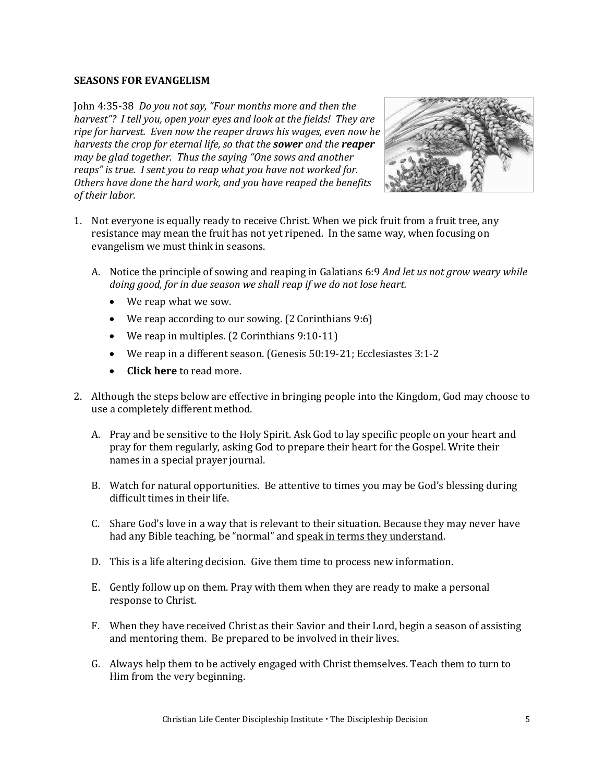#### **SEASONS FOR EVANGELISM**

John 4:35-38 *Do you not say, "Four months more and then the harvest"? I tell you, open your eyes and look at the fields! They are ripe for harvest. Even now the reaper draws his wages, even now he harvests the crop for eternal life, so that the sower and the reaper may be glad together. Thus the saying "One sows and another reaps" is true. I sent you to reap what you have not worked for. Others have done the hard work, and you have reaped the benefits of their labor.* 



- 1. Not everyone is equally ready to receive Christ. When we pick fruit from a fruit tree, any resistance may mean the fruit has not yet ripened. In the same way, when focusing on evangelism we must think in seasons.
	- A. Notice the principle of sowing and reaping in Galatians 6:9 *And let us not grow weary while doing good, for in due season we shall reap if we do not lose heart.* 
		- We reap what we sow.
		- We reap according to our sowing. (2 Corinthians 9:6)
		- We reap in multiples. (2 Corinthians 9:10-11)
		- We reap in a different season. (Genesis 50:19-21; Ecclesiastes 3:1-2
		- **[Click here](https://developdisciples.files.wordpress.com/2013/10/sowing-reaping.pdf)** to read more.
- 2. Although the steps below are effective in bringing people into the Kingdom, God may choose to use a completely different method.
	- A. Pray and be sensitive to the Holy Spirit. Ask God to lay specific people on your heart and pray for them regularly, asking God to prepare their heart for the Gospel. Write their names in a special prayer journal.
	- B. Watch for natural opportunities. Be attentive to times you may be God's blessing during difficult times in their life.
	- C. Share God's love in a way that is relevant to their situation. Because they may never have had any Bible teaching, be "normal" and speak in terms they understand.
	- D. This is a life altering decision. Give them time to process new information.
	- E. Gently follow up on them. Pray with them when they are ready to make a personal response to Christ.
	- F. When they have received Christ as their Savior and their Lord, begin a season of assisting and mentoring them. Be prepared to be involved in their lives.
	- G. Always help them to be actively engaged with Christ themselves. Teach them to turn to Him from the very beginning.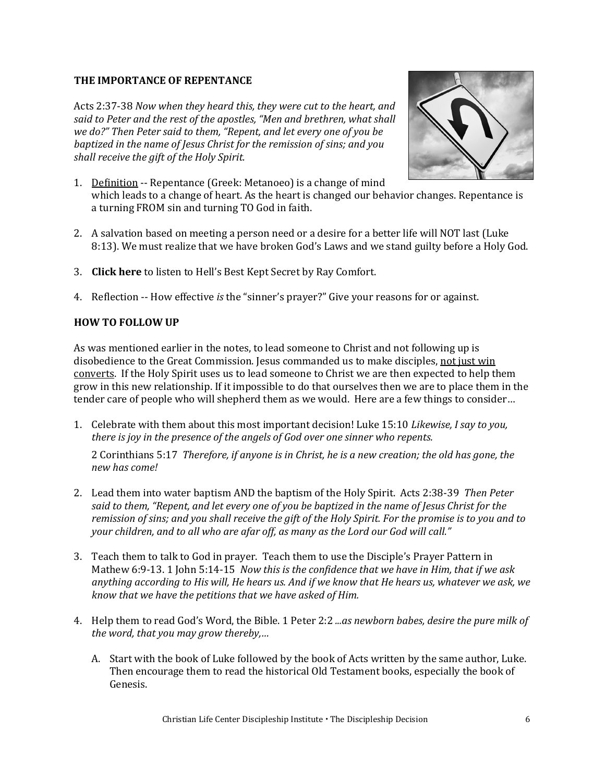### **THE IMPORTANCE OF REPENTANCE**

Acts 2:37-38 *Now when they heard this, they were cut to the heart, and said to Peter and the rest of the apostles, "Men and brethren, what shall we do?" Then Peter said to them, "Repent, and let every one of you be baptized in the name of Jesus Christ for the remission of sins; and you shall receive the gift of the Holy Spirit.*



- 1. Definition -- Repentance (Greek: Metanoeo) is a change of mind which leads to a change of heart. As the heart is changed our behavior changes. Repentance is a turning FROM sin and turning TO God in faith.
- 2. A salvation based on meeting a person need or a desire for a better life will NOT last (Luke 8:13). We must realize that we have broken God's Laws and we stand guilty before a Holy God.
- 3. **[Click here](https://soundcloud.com/livingwaterspub/hells-best-kept-secret?utm_source=clipboard&utm_medium=text&utm_campaign=social_sharing)** to listen to Hell's Best Kept Secret by Ray Comfort.
- 4. Reflection -- How effective *is* the "sinner's prayer?" Give your reasons for or against.

### **HOW TO FOLLOW UP**

As was mentioned earlier in the notes, to lead someone to Christ and not following up is disobedience to the Great Commission. Jesus commanded us to make disciples, not just win converts. If the Holy Spirit uses us to lead someone to Christ we are then expected to help them grow in this new relationship. If it impossible to do that ourselves then we are to place them in the tender care of people who will shepherd them as we would. Here are a few things to consider…

1. Celebrate with them about this most important decision! Luke 15:10 *Likewise, I say to you, there is joy in the presence of the angels of God over one sinner who repents.*

2 Corinthians 5:17 *Therefore, if anyone is in Christ, he is a new creation; the old has gone, the new has come!*

- 2. Lead them into water baptism AND the baptism of the Holy Spirit. Acts 2:38-39 *Then Peter said to them, "Repent, and let every one of you be baptized in the name of Jesus Christ for the remission of sins; and you shall receive the gift of the Holy Spirit. For the promise is to you and to your children, and to all who are afar off, as many as the Lord our God will call."*
- 3. Teach them to talk to God in prayer. Teach them to use the Disciple's Prayer Pattern in Mathew 6:9-13. 1 John 5:14-15 *Now this is the confidence that we have in Him, that if we ask anything according to His will, He hears us. And if we know that He hears us, whatever we ask, we know that we have the petitions that we have asked of Him.*
- 4. Help them to read God's Word, the Bible. 1 Peter 2:2 *...as newborn babes, desire the pure milk of the word, that you may grow thereby,…*
	- A. Start with the book of Luke followed by the book of Acts written by the same author, Luke. Then encourage them to read the historical Old Testament books, especially the book of Genesis.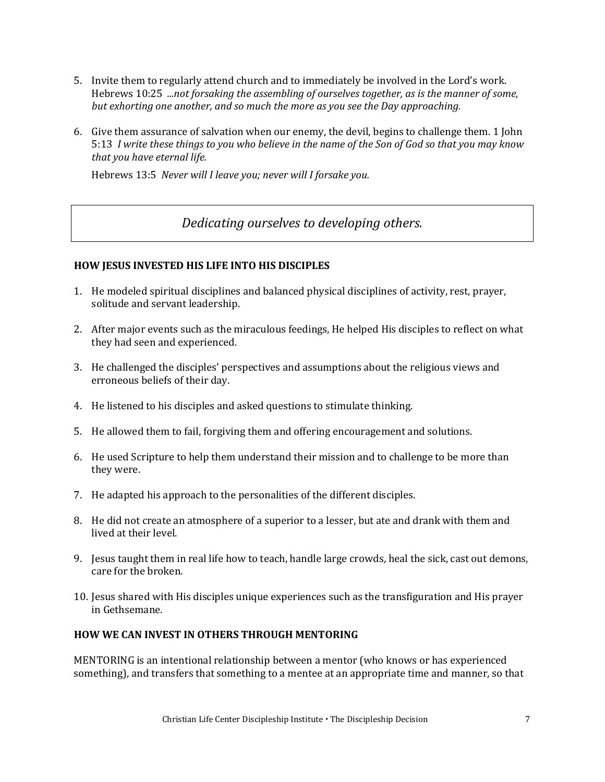- 5. Invite them to regularly attend church and to immediately be involved in the Lord's work. Hebrews 10:25 *...not forsaking the assembling of ourselves together, as is the manner of some, but exhorting one another, and so much the more as you see the Day approaching.*
- 6. Give them assurance of salvation when our enemy, the devil, begins to challenge them. 1 John 5:13 *I write these things to you who believe in the name of the Son of God so that you may know that you have eternal life.*

Hebrews 13:5 *Never will I leave you; never will I forsake you.*

## *Dedicating ourselves to developing others.*

## **HOW JESUS INVESTED HIS LIFE INTO HIS DISCIPLES**

- 1. He modeled spiritual disciplines and balanced physical disciplines of activity, rest, prayer, solitude and servant leadership.
- 2. After major events such as the miraculous feedings, He helped His disciples to reflect on what they had seen and experienced.
- 3. He challenged the disciples' perspectives and assumptions about the religious views and erroneous beliefs of their day.
- 4. He listened to his disciples and asked questions to stimulate thinking.
- 5. He allowed them to fail, forgiving them and offering encouragement and solutions.
- 6. He used Scripture to help them understand their mission and to challenge to be more than they were.
- 7. He adapted his approach to the personalities of the different disciples.
- 8. He did not create an atmosphere of a superior to a lesser, but ate and drank with them and lived at their level.
- 9. Jesus taught them in real life how to teach, handle large crowds, heal the sick, cast out demons, care for the broken.
- 10. Jesus shared with His disciples unique experiences such as the transfiguration and His prayer in Gethsemane.

## **HOW WE CAN INVEST IN OTHERS THROUGH MENTORING**

MENTORING is an intentional relationship between a mentor (who knows or has experienced something), and transfers that something to a mentee at an appropriate time and manner, so that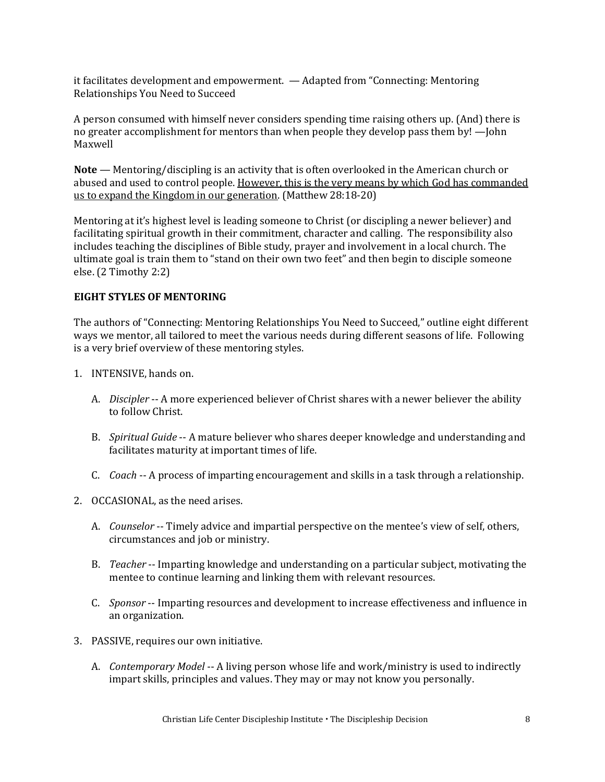it facilitates development and empowerment. — Adapted from "Connecting: Mentoring Relationships You Need to Succeed

A person consumed with himself never considers spending time raising others up. (And) there is no greater accomplishment for mentors than when people they develop pass them by! —John Maxwell

**Note** — Mentoring/discipling is an activity that is often overlooked in the American church or abused and used to control people. However, this is the very means by which God has commanded us to expand the Kingdom in our generation. (Matthew 28:18-20)

Mentoring at it's highest level is leading someone to Christ (or discipling a newer believer) and facilitating spiritual growth in their commitment, character and calling. The responsibility also includes teaching the disciplines of Bible study, prayer and involvement in a local church. The ultimate goal is train them to "stand on their own two feet" and then begin to disciple someone else. (2 Timothy 2:2)

#### **EIGHT STYLES OF MENTORING**

The authors of "Connecting: Mentoring Relationships You Need to Succeed," outline eight different ways we mentor, all tailored to meet the various needs during different seasons of life. Following is a very brief overview of these mentoring styles.

- 1. INTENSIVE, hands on.
	- A. *Discipler* -- A more experienced believer of Christ shares with a newer believer the ability to follow Christ.
	- B. *Spiritual Guide* -- A mature believer who shares deeper knowledge and understanding and facilitates maturity at important times of life.
	- C. *Coach* -- A process of imparting encouragement and skills in a task through a relationship.
- 2. OCCASIONAL, as the need arises.
	- A. *Counselor* -- Timely advice and impartial perspective on the mentee's view of self, others, circumstances and job or ministry.
	- B. *Teacher* -- Imparting knowledge and understanding on a particular subject, motivating the mentee to continue learning and linking them with relevant resources.
	- C. *Sponsor* -- Imparting resources and development to increase effectiveness and influence in an organization.
- 3. PASSIVE, requires our own initiative.
	- A. *Contemporary Model* -- A living person whose life and work/ministry is used to indirectly impart skills, principles and values. They may or may not know you personally.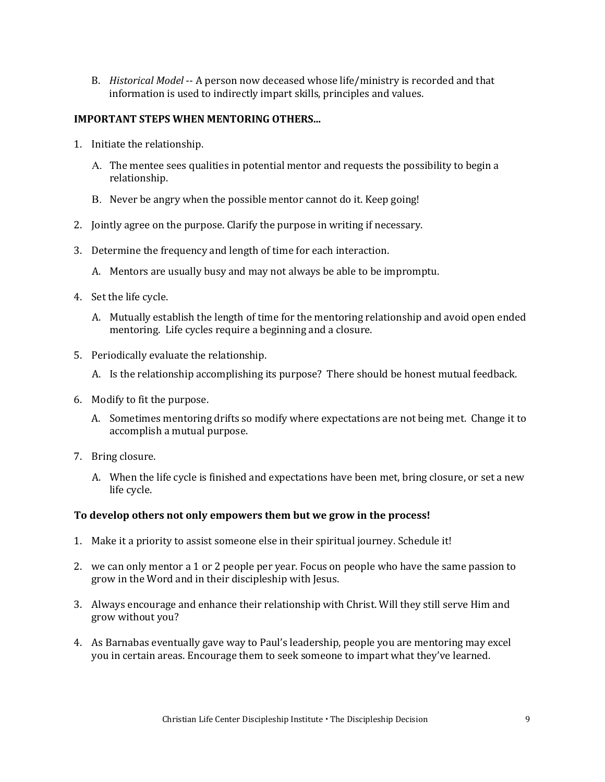B. *Historical Model* -- A person now deceased whose life/ministry is recorded and that information is used to indirectly impart skills, principles and values.

#### **IMPORTANT STEPS WHEN MENTORING OTHERS...**

- 1. Initiate the relationship.
	- The mentee sees qualities in potential mentor and requests the possibility to begin a relationship.
	- B. Never be angry when the possible mentor cannot do it. Keep going!
- 2. Jointly agree on the purpose. Clarify the purpose in writing if necessary.
- 3. Determine the frequency and length of time for each interaction.
	- A. Mentors are usually busy and may not always be able to be impromptu.
- 4. Set the life cycle.
	- A. Mutually establish the length of time for the mentoring relationship and avoid open ended mentoring. Life cycles require a beginning and a closure.
- 5. Periodically evaluate the relationship.
	- A. Is the relationship accomplishing its purpose? There should be honest mutual feedback.
- 6. Modify to fit the purpose.
	- A. Sometimes mentoring drifts so modify where expectations are not being met. Change it to accomplish a mutual purpose.
- 7. Bring closure.
	- A. When the life cycle is finished and expectations have been met, bring closure, or set a new life cycle.

#### **To develop others not only empowers them but we grow in the process!**

- 1. Make it a priority to assist someone else in their spiritual journey. Schedule it!
- 2. we can only mentor a 1 or 2 people per year. Focus on people who have the same passion to grow in the Word and in their discipleship with Jesus.
- 3. Always encourage and enhance their relationship with Christ. Will they still serve Him and grow without you?
- 4. As Barnabas eventually gave way to Paul's leadership, people you are mentoring may excel you in certain areas. Encourage them to seek someone to impart what they've learned.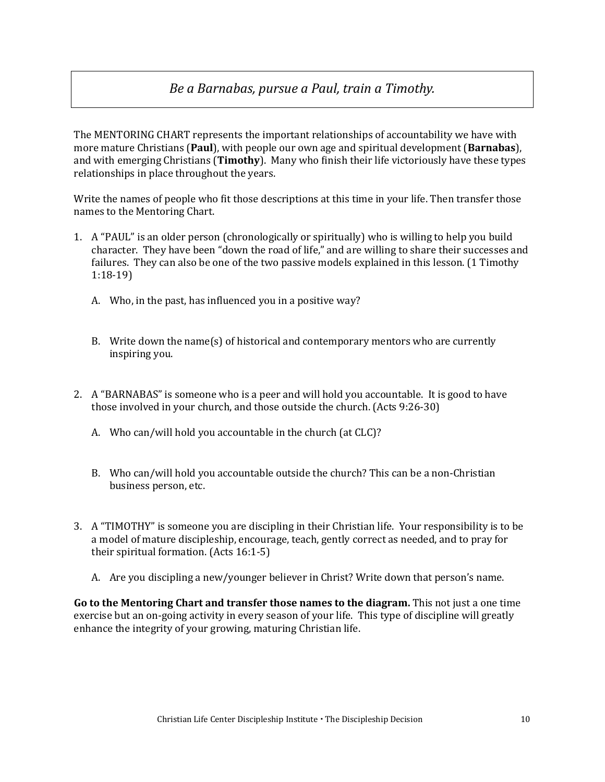## *Be a Barnabas, pursue a Paul, train a Timothy.*

The MENTORING CHART represents the important relationships of accountability we have with more mature Christians (**Paul**), with people our own age and spiritual development (**Barnabas**), and with emerging Christians (**Timothy**). Many who finish their life victoriously have these types relationships in place throughout the years.

Write the names of people who fit those descriptions at this time in your life. Then transfer those names to the Mentoring Chart.

- 1. A "PAUL" is an older person (chronologically or spiritually) who is willing to help you build character. They have been "down the road of life," and are willing to share their successes and failures. They can also be one of the two passive models explained in this lesson. (1 Timothy 1:18-19)
	- A. Who, in the past, has influenced you in a positive way?
	- B. Write down the name(s) of historical and contemporary mentors who are currently inspiring you.
- 2. A "BARNABAS" is someone who is a peer and will hold you accountable. It is good to have those involved in your church, and those outside the church. (Acts 9:26-30)
	- A. Who can/will hold you accountable in the church (at CLC)?
	- B. Who can/will hold you accountable outside the church? This can be a non-Christian business person, etc.
- 3. A "TIMOTHY" is someone you are discipling in their Christian life. Your responsibility is to be a model of mature discipleship, encourage, teach, gently correct as needed, and to pray for their spiritual formation. (Acts 16:1-5)
	- A. Are you discipling a new/younger believer in Christ? Write down that person's name.

**Go to the Mentoring Chart and transfer those names to the diagram.** This not just a one time exercise but an on-going activity in every season of your life. This type of discipline will greatly enhance the integrity of your growing, maturing Christian life.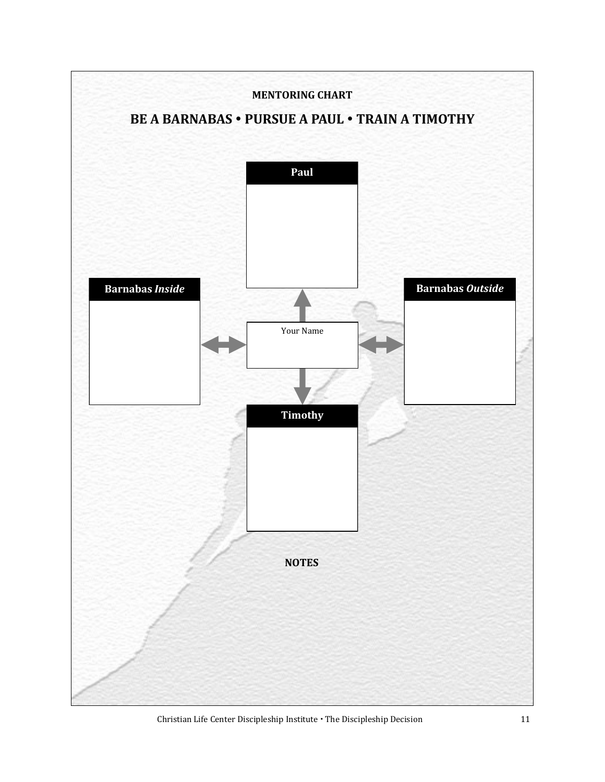

Christian Life Center Discipleship Institute  $\cdot$  The Discipleship Decision 11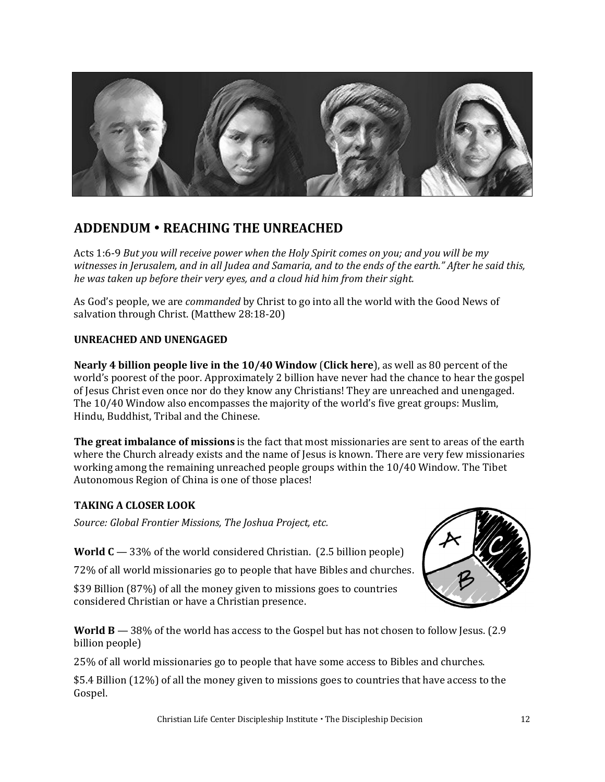

## **ADDENDUM REACHING THE UNREACHED**

Acts 1:6-9 *But you will receive power when the Holy Spirit comes on you; and you will be my witnesses in Jerusalem, and in all Judea and Samaria, and to the ends of the earth." After he said this, he was taken up before their very eyes, and a cloud hid him from their sight.*

As God's people, we are *commanded* by Christ to go into all the world with the Good News of salvation through Christ. (Matthew 28:18-20)

## **UNREACHED AND UNENGAGED**

**Nearly 4 billion people live in the 10/40 Window** (**[Click here](https://joshuaproject.net/resources/articles/10_40_window)**), as well as 80 percent of the world's poorest of the poor. Approximately 2 billion have never had the chance to hear the gospel of Jesus Christ even once nor do they know any Christians! They are unreached and unengaged. The 10/40 Window also encompasses the majority of the world's five great groups: Muslim, Hindu, Buddhist, Tribal and the Chinese.

**The great imbalance of missions** is the fact that most missionaries are sent to areas of the earth where the Church already exists and the name of Jesus is known. There are very few missionaries working among the remaining unreached people groups within the 10/40 Window. The Tibet Autonomous Region of China is one of those places!

## **TAKING A CLOSER LOOK**

*Source: Global Frontier Missions, The Joshua Project, etc.*

**World**  $C - 33\%$  of the world considered Christian. (2.5 billion people)

72% of all world missionaries go to people that have Bibles and churches.

\$39 Billion (87%) of all the money given to missions goes to countries considered Christian or have a Christian presence.



**World B** — 38% of the world has access to the Gospel but has not chosen to follow Jesus. (2.9) billion people)

25% of all world missionaries go to people that have some access to Bibles and churches.

\$5.4 Billion (12%) of all the money given to missions goes to countries that have access to the Gospel.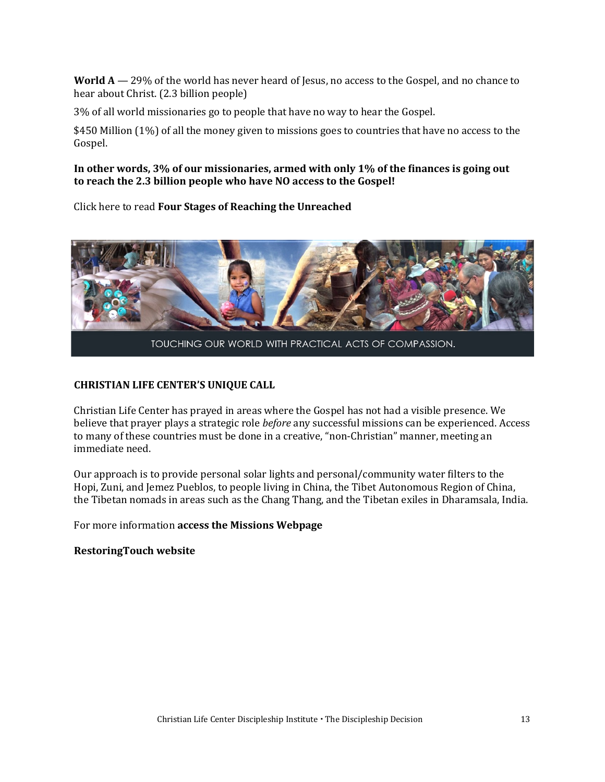**World A** — 29% of the world has never heard of Jesus, no access to the Gospel, and no chance to hear about Christ. (2.3 billion people)

3% of all world missionaries go to people that have no way to hear the Gospel.

\$450 Million (1%) of all the money given to missions goes to countries that have no access to the Gospel.

### **In other words, 3% of our missionaries, armed with only 1% of the finances is going out to reach the 2.3 billion people who have NO access to the Gospel!**

Click here to read **[Four Stages of Reaching the Unreached](https://developdisciples.files.wordpress.com/2020/04/pre-evangelism-chart.pdf)**



TOUCHING OUR WORLD WITH PRACTICAL ACTS OF COMPASSION.

#### **CHRISTIAN LIFE CENTER'S UNIQUE CALL**

Christian Life Center has prayed in areas where the Gospel has not had a visible presence. We believe that prayer plays a strategic role *before* any successful missions can be experienced. Access to many of these countries must be done in a creative, "non-Christian" manner, meeting an immediate need.

Our approach is to provide personal solar lights and personal/community water filters to the Hopi, Zuni, and Jemez Pueblos, to people living in China, the Tibet Autonomous Region of China, the Tibetan nomads in areas such as the Chang Thang, and the Tibetan exiles in Dharamsala, India.

For more information **[access the Missions Webpage](https://discipleshipdevelopment.org/world-missions/)**

#### **[RestoringTouch website](https://www.rtinc.org/index.html)**